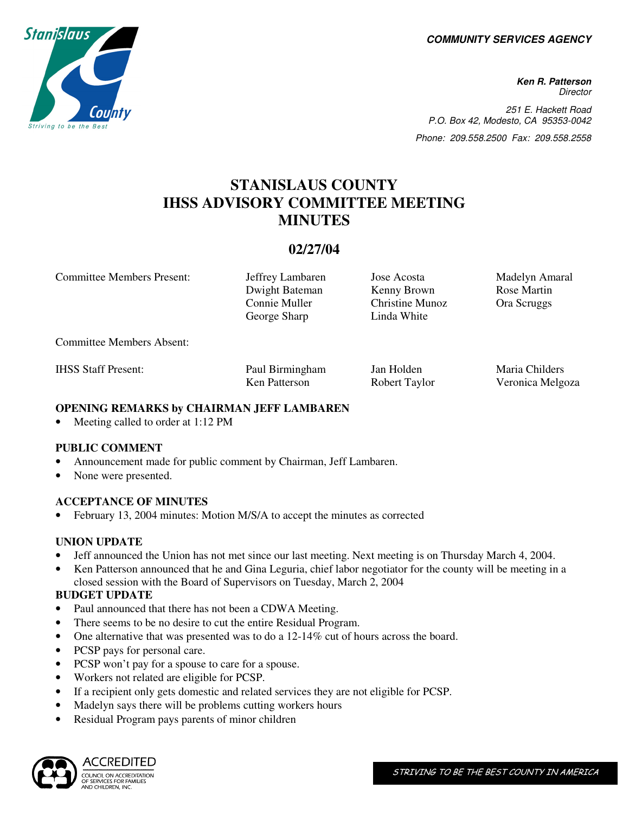**COMMUNITY SERVICES AGENCY** 

**Ken R. Patterson** 

251 E. Hackett Road

**Director** 

P.O. Box 42, Modesto, CA 95353-0042 Phone: 209.558.2500 Fax: 209.558.2558

**STANISLAUS COUNTY IHSS ADVISORY COMMITTEE MEETING MINUTES** 

# **02/27/04**

Committee Members Present: Jeffrey Lambaren Jose Acosta Madelyn Amaral

George Sharp Linda White

Dwight Bateman Kenny Brown Rose Martin Connie Muller Christine Munoz Ora Scruggs

Committee Members Absent:

IHSS Staff Present: Paul Birmingham Ken Patterson Jan Holden Robert Taylor Maria Childers Veronica Melgoza

### **OPENING REMARKS by CHAIRMAN JEFF LAMBAREN**

Meeting called to order at 1:12 PM

### **PUBLIC COMMENT**

- Announcement made for public comment by Chairman, Jeff Lambaren.
- None were presented.

## **ACCEPTANCE OF MINUTES**

• February 13, 2004 minutes: Motion M/S/A to accept the minutes as corrected

## **UNION UPDATE**

- Jeff announced the Union has not met since our last meeting. Next meeting is on Thursday March 4, 2004.
- Ken Patterson announced that he and Gina Leguria, chief labor negotiator for the county will be meeting in a closed session with the Board of Supervisors on Tuesday, March 2, 2004

### **BUDGET UPDATE**

- Paul announced that there has not been a CDWA Meeting.
- There seems to be no desire to cut the entire Residual Program.
- One alternative that was presented was to do a 12-14% cut of hours across the board.
- PCSP pays for personal care.
- PCSP won't pay for a spouse to care for a spouse.
- Workers not related are eligible for PCSP.
- If a recipient only gets domestic and related services they are not eligible for PCSP.
- Madelyn says there will be problems cutting workers hours
- Residual Program pays parents of minor children



STRIVING TO BE THE BEST COUNTY IN AMERICA

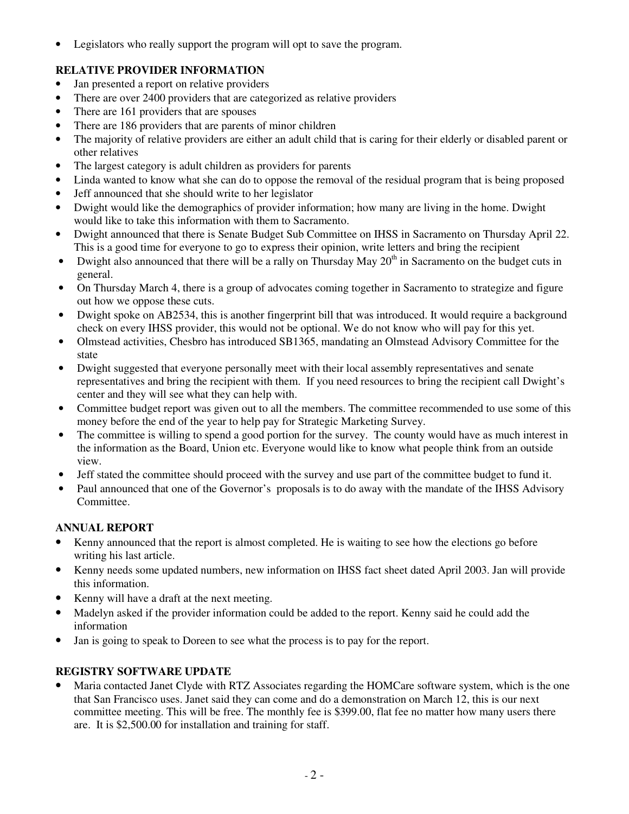• Legislators who really support the program will opt to save the program.

# **RELATIVE PROVIDER INFORMATION**

- Jan presented a report on relative providers
- There are over 2400 providers that are categorized as relative providers
- There are 161 providers that are spouses
- There are 186 providers that are parents of minor children
- The majority of relative providers are either an adult child that is caring for their elderly or disabled parent or other relatives
- The largest category is adult children as providers for parents
- Linda wanted to know what she can do to oppose the removal of the residual program that is being proposed
- Jeff announced that she should write to her legislator
- Dwight would like the demographics of provider information; how many are living in the home. Dwight would like to take this information with them to Sacramento.
- Dwight announced that there is Senate Budget Sub Committee on IHSS in Sacramento on Thursday April 22. This is a good time for everyone to go to express their opinion, write letters and bring the recipient
- Dwight also announced that there will be a rally on Thursday May  $20<sup>th</sup>$  in Sacramento on the budget cuts in general.
- On Thursday March 4, there is a group of advocates coming together in Sacramento to strategize and figure out how we oppose these cuts.
- Dwight spoke on AB2534, this is another fingerprint bill that was introduced. It would require a background check on every IHSS provider, this would not be optional. We do not know who will pay for this yet.
- Olmstead activities, Chesbro has introduced SB1365, mandating an Olmstead Advisory Committee for the state
- Dwight suggested that everyone personally meet with their local assembly representatives and senate representatives and bring the recipient with them. If you need resources to bring the recipient call Dwight's center and they will see what they can help with.
- Committee budget report was given out to all the members. The committee recommended to use some of this money before the end of the year to help pay for Strategic Marketing Survey.
- The committee is willing to spend a good portion for the survey. The county would have as much interest in the information as the Board, Union etc. Everyone would like to know what people think from an outside view.
- Jeff stated the committee should proceed with the survey and use part of the committee budget to fund it.
- Paul announced that one of the Governor's proposals is to do away with the mandate of the IHSS Advisory Committee.

# **ANNUAL REPORT**

- Kenny announced that the report is almost completed. He is waiting to see how the elections go before writing his last article.
- Kenny needs some updated numbers, new information on IHSS fact sheet dated April 2003. Jan will provide this information.
- Kenny will have a draft at the next meeting.
- Madelyn asked if the provider information could be added to the report. Kenny said he could add the information
- Jan is going to speak to Doreen to see what the process is to pay for the report.

# **REGISTRY SOFTWARE UPDATE**

Maria contacted Janet Clyde with RTZ Associates regarding the HOMCare software system, which is the one that San Francisco uses. Janet said they can come and do a demonstration on March 12, this is our next committee meeting. This will be free. The monthly fee is \$399.00, flat fee no matter how many users there are. It is \$2,500.00 for installation and training for staff.